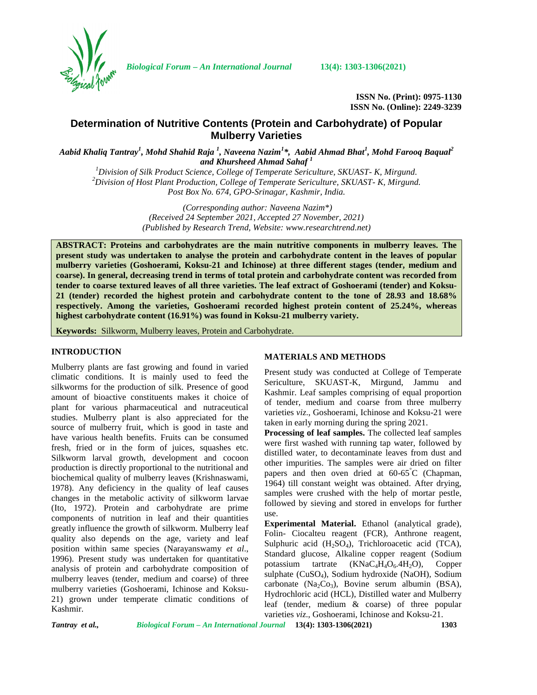

*Biological Forum – An International Journal* **13(4): 1303-1306(2021)**

**ISSN No. (Print): 0975-1130 ISSN No. (Online): 2249-3239**

# **Determination of Nutritive Contents (Protein and Carbohydrate) of Popular Mulberry Varieties**

*Aabid Khaliq Tantray<sup>1</sup> , Mohd Shahid Raja <sup>1</sup> , Naveena Nazim<sup>1</sup>\*, Aabid Ahmad Bhat<sup>1</sup> , Mohd Farooq Baqual<sup>2</sup> and Khursheed Ahmad Sahaf <sup>1</sup>*

<sup>1</sup>Division of Silk Product Science, College of Temperate Sericulture, SKUAST-K, Mirgund.<br><sup>2</sup>Division of Host Plant Production, College of Temperate Sericulture, SKUAST-K, Mirgund. *Post Box No. 674, GPO-Srinagar, Kashmir, India.*

> *(Corresponding author: Naveena Nazim\*) (Received 24 September 2021, Accepted 27 November, 2021) (Published by Research Trend, Website: [www.researchtrend.net\)](www.researchtrend.net)*

**ABSTRACT: Proteins and carbohydrates are the main nutritive components in mulberry leaves. The present study was undertaken to analyse the protein and carbohydrate content in the leaves of popular mulberry varieties (Goshoerami, Koksu-21 and Ichinose) at three different stages (tender, medium and coarse). In general, decreasing trend in terms of total protein and carbohydrate content was recorded from tender to coarse textured leaves of all three varieties. The leaf extract of Goshoerami (tender) and Koksu- 21 (tender) recorded the highest protein and carbohydrate content to the tone of 28.93 and 18.68% respectively. Among the varieties, Goshoerami recorded highest protein content of 25.24%, whereas highest carbohydrate content (16.91%) was found in Koksu-21 mulberry variety.**

**Keywords:** Silkworm, Mulberry leaves, Protein and Carbohydrate.

# **INTRODUCTION**

Mulberry plants are fast growing and found in varied climatic conditions. It is mainly used to feed the silkworms for the production of silk. Presence of good amount of bioactive constituents makes it choice of plant for various pharmaceutical and nutraceutical studies. Mulberry plant is also appreciated for the source of mulberry fruit, which is good in taste and have various health benefits. Fruits can be consumed fresh, fried or in the form of juices, squashes etc. Silkworm larval growth, development and cocoon production is directly proportional to the nutritional and biochemical quality of mulberry leaves (Krishnaswami, 1978). Any deficiency in the quality of leaf causes changes in the metabolic activity of silkworm larvae (Ito, 1972). Protein and carbohydrate are prime components of nutrition in leaf and their quantities greatly influence the growth of silkworm. Mulberry leaf quality also depends on the age, variety and leaf position within same species (Narayanswamy *et al*., 1996). Present study was undertaken for quantitative analysis of protein and carbohydrate composition of mulberry leaves (tender, medium and coarse) of three mulberry varieties (Goshoerami, Ichinose and Koksu- 21) grown under temperate climatic conditions of Kashmir.

# **MATERIALS AND METHODS**

Present study was conducted at College of Temperate Sericulture, SKUAST-K, Mirgund, Jammu and Kashmir. Leaf samples comprising of equal proportion of tender, medium and coarse from three mulberry varieties *viz*., Goshoerami, Ichinose and Koksu-21 were taken in early morning during the spring 2021.

**Processing of leaf samples.** The collected leaf samples were first washed with running tap water, followed by distilled water, to decontaminate leaves from dust and other impurities. The samples were air dried on filter papers and then oven dried at  $60-65^{\circ}$ C (Chapman, 1964) till constant weight was obtained. After drying, samples were crushed with the help of mortar pestle, followed by sieving and stored in envelops for further use.

**Experimental Material.** Ethanol (analytical grade), Folin- Ciocalteu reagent (FCR), Anthrone reagent, Sulphuric acid  $(H_2SO_4)$ , Trichloroacetic acid (TCA), Standard glucose, Alkaline copper reagent (Sodium potassium tartrate  $(KNaC<sub>4</sub>H<sub>4</sub>O<sub>6</sub>.4H<sub>2</sub>O)$ , Copper sulphate (CuSO<sub>4</sub>), Sodium hydroxide (NaOH), Sodium carbonate (Na<sub>2</sub>Co<sub>3</sub>), Bovine serum albumin (BSA), Hydrochloric acid (HCL), Distilled water and Mulberry leaf (tender, medium & coarse) of three popular varieties *viz*., Goshoerami, Ichinose and Koksu-21.

*Tantray et al., Biological Forum – An International Journal* **13(4): 1303-1306(2021) 1303**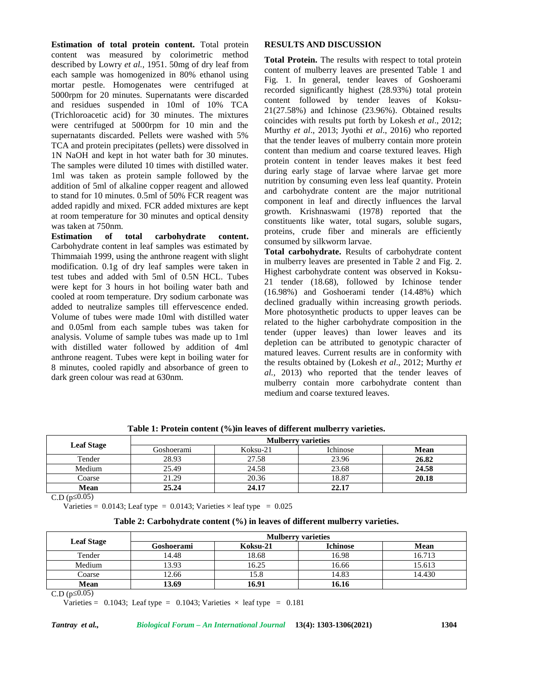**Estimation of total protein content.** Total protein content was measured by colorimetric method described by Lowry *et al.,* 1951. 50mg of dry leaf from each sample was homogenized in 80% ethanol using mortar pestle. Homogenates were centrifuged at 5000rpm for 20 minutes. Supernatants were discarded and residues suspended in 10ml of 10% TCA (Trichloroacetic acid) for 30 minutes. The mixtures were centrifuged at 5000rpm for 10 min and the supernatants discarded. Pellets were washed with 5% TCA and protein precipitates (pellets) were dissolved in 1N NaOH and kept in hot water bath for 30 minutes. The samples were diluted 10 times with distilled water. 1ml was taken as protein sample followed by the addition of 5ml of alkaline copper reagent and allowed to stand for 10 minutes. 0.5ml of 50% FCR reagent was added rapidly and mixed. FCR added mixtures are kept at room temperature for 30 minutes and optical density was taken at 750nm.

**Estimation of total carbohydrate content.** Carbohydrate content in leaf samples was estimated by Thimmaiah 1999, using the anthrone reagent with slight modification. 0.1g of dry leaf samples were taken in test tubes and added with 5ml of 0.5N HCL. Tubes were kept for 3 hours in hot boiling water bath and cooled at room temperature. Dry sodium carbonate was added to neutralize samples till effervescence ended. Volume of tubes were made 10ml with distilled water and 0.05ml from each sample tubes was taken for analysis. Volume of sample tubes was made up to 1ml with distilled water followed by addition of 4ml anthrone reagent. Tubes were kept in boiling water for 8 minutes, cooled rapidly and absorbance of green to dark green colour was read at 630nm.

#### **RESULTS AND DISCUSSION**

**Total Protein.** The results with respect to total protein content of mulberry leaves are presented Table 1 and Fig. 1. In general, tender leaves of Goshoerami recorded significantly highest (28.93%) total protein content followed by tender leaves of Koksu- 21(27.58%) and Ichinose (23.96%). Obtained results coincides with results put forth by Lokesh *et al*., 2012; Murthy *et al*., 2013; Jyothi *et al*., 2016) who reported that the tender leaves of mulberry contain more protein content than medium and coarse textured leaves. High protein content in tender leaves makes it best feed during early stage of larvae where larvae get more nutrition by consuming even less leaf quantity. Protein and carbohydrate content are the major nutritional component in leaf and directly influences the larval growth. Krishnaswami (1978) reported that the constituents like water, total sugars, soluble sugars, proteins, crude fiber and minerals are efficiently consumed by silkworm larvae.

**Total carbohydrate.** Results of carbohydrate content in mulberry leaves are presented in Table 2 and Fig. 2. Highest carbohydrate content was observed in Koksu- 21 tender (18.68), followed by Ichinose tender (16.98%) and Goshoerami tender (14.48%) which declined gradually within increasing growth periods. More photosynthetic products to upper leaves can be related to the higher carbohydrate composition in the tender (upper leaves) than lower leaves and its depletion can be attributed to genotypic character of matured leaves. Current results are in conformity with the results obtained by (Lokesh *et al*., 2012; Murthy *et al.,* 2013) who reported that the tender leaves of mulberry contain more carbohydrate content than medium and coarse textured leaves.

| <b>Leaf Stage</b> | <b>Mulberry varieties</b> |          |          |       |  |
|-------------------|---------------------------|----------|----------|-------|--|
|                   | Goshoerami                | Koksu-21 | Ichinose | Mean  |  |
| Tender            | 28.93                     | 27.58    | 23.96    | 26.82 |  |
| Medium            | 25.49                     | 24.58    | 23.68    | 24.58 |  |
| Coarse            | 21.29                     | 20.36    | 18.87    | 20.18 |  |
| <b>Mean</b>       | 25.24                     | 24.17    | 22.17    |       |  |

**Table 1: Protein content (%)in leaves of different mulberry varieties.**

 $C.D (p 0.05)$ 

Varieties =  $0.0143$ ; Leaf type =  $0.0143$ ; Varieties  $\times$  leaf type =  $0.025$ 

|  | Table 2: Carbohydrate content (%) in leaves of different mulberry varieties. |  |
|--|------------------------------------------------------------------------------|--|
|  |                                                                              |  |

| <b>Leaf Stage</b> | <b>Mulberry varieties</b> |          |                 |        |  |
|-------------------|---------------------------|----------|-----------------|--------|--|
|                   | Goshoerami                | Koksu-21 | <b>Ichinose</b> | Mean   |  |
| Tender            | 14.48                     | 18.68    | 16.98           | 16.713 |  |
| Medium            | 13.93                     | 16.25    | 16.66           | 15.613 |  |
| Coarse            | 12.66                     | 15.8     | 14.83           | 14.430 |  |
| <b>Mean</b>       | 13.69                     | 16.91    | 16.16           |        |  |

 $C.D (p 0.05)$ 

Varieties =  $0.1043$ ; Leaf type =  $0.1043$ ; Varieties  $\times$  leaf type =  $0.181$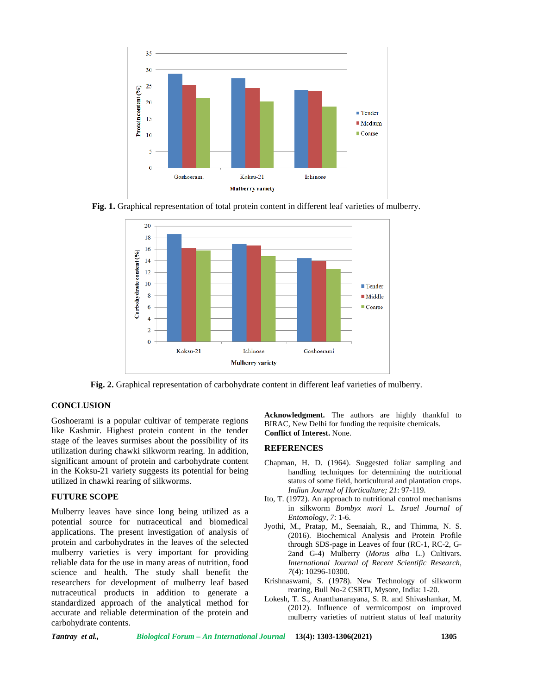

**Fig. 1.** Graphical representation of total protein content in different leaf varieties of mulberry.



**Fig. 2.** Graphical representation of carbohydrate content in different leaf varieties of mulberry.

# **CONCLUSION**

Goshoerami is a popular cultivar of temperate regions like Kashmir. Highest protein content in the tender stage of the leaves surmises about the possibility of its utilization during chawki silkworm rearing. In addition, significant amount of protein and carbohydrate content in the Koksu-21 variety suggests its potential for being utilized in chawki rearing of silkworms.

# **FUTURE SCOPE**

Mulberry leaves have since long being utilized as a potential source for nutraceutical and biomedical applications. The present investigation of analysis of protein and carbohydrates in the leaves of the selected mulberry varieties is very important for providing reliable data for the use in many areas of nutrition, food science and health. The study shall benefit the researchers for development of mulberry leaf based nutraceutical products in addition to generate a standardized approach of the analytical method for accurate and reliable determination of the protein and carbohydrate contents.

**Acknowledgment.** The authors are highly thankful to BIRAC, New Delhi for funding the requisite chemicals. **Conflict of Interest.** None.

## **REFERENCES**

- Chapman, H. D. (1964). Suggested foliar sampling and handling techniques for determining the nutritional status of some field, horticultural and plantation crops. *Indian Journal of Horticulture; 21*: 97-119.
- Ito, T. (1972). An approach to nutritional control mechanisms in silkworm *Bombyx mori* L. *Israel Journal of Entomology*, *7*: 1-6.
- Jyothi, M., Pratap, M., Seenaiah, R., and Thimma, N. S. (2016). Biochemical Analysis and Protein Profile through SDS-page in Leaves of four (RC-1, RC-2, G- 2and G-4) Mulberry (*Morus alba* L.) Cultivars. *International Journal of Recent Scientific Research*, *7*(4): 10296-10300.
- Krishnaswami, S. (1978). New Technology of silkworm rearing, Bull No-2 CSRTI, Mysore, India: 1-20.
- Lokesh, T. S., Ananthanarayana, S. R. and Shivashankar, M. (2012). Influence of vermicompost on improved mulberry varieties of nutrient status of leaf maturity